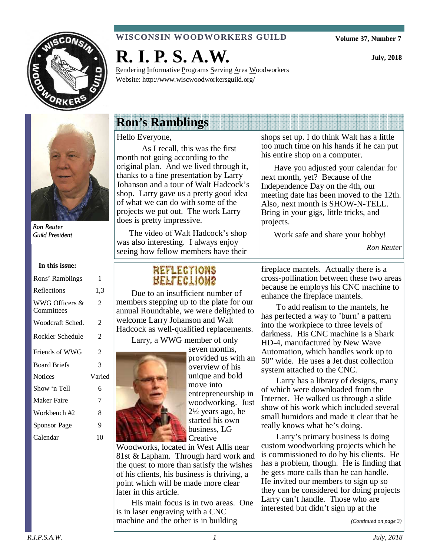

### **WISCONSIN WOODWORKERS GUILD**

Rendering Informative Programs Serving Area Woodworkers

**Volume 37, Number 7** 

**July, 2018** 



Ron Reuter Guild President

#### **In this issue:**

| Rons' Ramblings              | 1      |
|------------------------------|--------|
| Reflections                  | 1.3    |
| WWG Officers &<br>Committees | 2      |
| Woodcraft Sched.             | 2      |
| Rockler Schedule             | 2      |
| Friends of WWG               | 2      |
| <b>Board Briefs</b>          | 3      |
| <b>Notices</b>               | Varied |
| Show 'n Tell                 | 6      |
| Maker Faire                  | 7      |
| Workbench #2                 | 8      |
| <b>Sponsor Page</b>          | 9      |
| Calendar                     | 10     |

# **Ron's Ramblings**

**R. I. P. S. A.W.** 

Website: http://www.wiscwoodworkersguild.org/

#### Hello Everyone,

 As I recall, this was the first month not going according to the original plan. And we lived through it, thanks to a fine presentation by Larry Johanson and a tour of Walt Hadcock's shop. Larry gave us a pretty good idea of what we can do with some of the projects we put out. The work Larry does is pretty impressive.

The video of Walt Hadcock's shop was also interesting. I always enjoy seeing how fellow members have their shops set up. I do think Walt has a little too much time on his hands if he can put his entire shop on a computer.

Have you adjusted your calendar for next month, yet? Because of the Independence Day on the 4th, our meeting date has been moved to the 12th. Also, next month is SHOW-N-TELL. Bring in your gigs, little tricks, and projects.

Work safe and share your hobby!

*Ron Reuter* 

## **REFLECTIONS** REFLECTIONS

Due to an insufficient number of members stepping up to the plate for our annual Roundtable, we were delighted to welcome Larry Johanson and Walt Hadcock as well-qualified replacements.

Larry, a WWG member of only



seven months, provided us with an overview of his unique and bold move into entrepreneurship in woodworking. Just 2½ years ago, he started his own business, LG **Creative** 

Woodworks, located in West Allis near 81st & Lapham. Through hard work and the quest to more than satisfy the wishes of his clients, his business is thriving, a point which will be made more clear later in this article.

His main focus is in two areas. One is in laser engraving with a CNC machine and the other is in building

fireplace mantels. Actually there is a cross-pollination between these two areas because he employs his CNC machine to enhance the fireplace mantels.

To add realism to the mantels, he has perfected a way to 'burn' a pattern into the workpiece to three levels of darkness. His CNC machine is a Shark HD-4, manufactured by New Wave Automation, which handles work up to 50" wide. He uses a Jet dust collection system attached to the CNC.

Larry has a library of designs, many of which were downloaded from the Internet. He walked us through a slide show of his work which included several small humidors and made it clear that he really knows what he's doing.

Larry's primary business is doing custom woodworking projects which he is commissioned to do by his clients. He has a problem, though. He is finding that he gets more calls than he can handle. He invited our members to sign up so they can be considered for doing projects Larry can't handle. Those who are interested but didn't sign up at the

*(Continued on page 3)*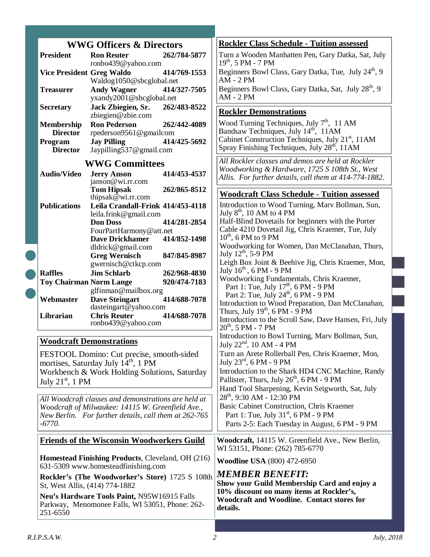|  |                                                                                                                                                                                | <b>WWG Officers &amp; Directors</b>                               | <b>Rockler Class Schedule - Tuition assessed</b>                                              |
|--|--------------------------------------------------------------------------------------------------------------------------------------------------------------------------------|-------------------------------------------------------------------|-----------------------------------------------------------------------------------------------|
|  | <b>President</b>                                                                                                                                                               | 262/784-5877<br><b>Ron Reuter</b>                                 | Turn a Wooden Manhatten Pen, Gary Datka, Sat, July                                            |
|  |                                                                                                                                                                                | ronbo439@yahoo.com                                                | $19^{th}$ , 5 PM - 7 PM                                                                       |
|  | <b>Vice President Greg Waldo</b>                                                                                                                                               | 414/769-1553<br>Waldog1050@sbcglobal.net                          | Beginners Bowl Class, Gary Datka, Tue, July 24 <sup>th</sup> , 9<br>$AM - 2 PM$               |
|  | <b>Treasurer</b>                                                                                                                                                               | <b>Andy Wagner</b><br>414/327-7505                                | Beginners Bowl Class, Gary Datka, Sat, July 28 <sup>th</sup> , 9                              |
|  |                                                                                                                                                                                | yxandy2001@sbcglobal.net                                          | $AM - 2 PM$                                                                                   |
|  | <b>Secretary</b>                                                                                                                                                               | Jack Zbiegien, Sr.<br>262/483-8522                                | <b>Rockler Demonstrations</b>                                                                 |
|  |                                                                                                                                                                                | zbiegien@zbie.com                                                 | Wood Turning Techniques, July 7 <sup>th</sup> , 11 AM                                         |
|  | <b>Membership</b><br><b>Director</b>                                                                                                                                           | <b>Ron Pederson</b><br>262/442-4089<br>rpederson9561@gmailcom     | Bandsaw Techniques, July 14th, 11AM                                                           |
|  | Program                                                                                                                                                                        | <b>Jay Pilling</b><br>414/425-5692                                | Cabinet Construction Techniques, July 21 <sup>st</sup> , 11AM                                 |
|  | <b>Director</b>                                                                                                                                                                | Jaypilling537@gmail.com                                           | Spray Finishing Techniques, July 28 <sup>th</sup> , 11AM                                      |
|  | <b>WWG Committees</b>                                                                                                                                                          |                                                                   | All Rockler classes and demos are held at Rockler                                             |
|  | <b>Audio/Video</b>                                                                                                                                                             | <b>Jerry Anson</b><br>414/453-4537                                | Woodworking & Hardware, 1725 S 108th St., West                                                |
|  |                                                                                                                                                                                | janson@wi.rr.com                                                  | Allis. For further details, call them at 414-774-1882.                                        |
|  |                                                                                                                                                                                | 262/865-8512<br><b>Tom Hipsak</b><br>thipsak $@$ wi.rr.com        | <b>Woodcraft Class Schedule - Tuition assessed</b>                                            |
|  | <b>Publications</b>                                                                                                                                                            | Leila Crandall-Frink 414/453-4118                                 | Introduction to Wood Turning, Marv Bollman, Sun,                                              |
|  |                                                                                                                                                                                | leila.frink@gmail.com                                             | July 8 <sup>th</sup> , 10 AM to 4 PM                                                          |
|  |                                                                                                                                                                                | <b>Don Doss</b><br>414/281-2854                                   | Half-Blind Dovetails for beginners with the Porter                                            |
|  |                                                                                                                                                                                | FourPartHarmony@att.net<br>414/852-1498<br><b>Dave Drickhamer</b> | Cable 4210 Dovetail Jig, Chris Kraemer, Tue, July<br>$10^{th}$ , 6 PM to 9 PM                 |
|  |                                                                                                                                                                                | dldrick@gmail.com                                                 | Woodworking for Women, Dan McClanahan, Thurs,                                                 |
|  |                                                                                                                                                                                | <b>Greg Wernisch</b><br>847/845-8987                              | July 12 <sup>th</sup> , 5-9 PM                                                                |
|  |                                                                                                                                                                                | gwernisch@ctkcp.com                                               | Leigh Box Joint & Beehive Jig, Chris Kraemer, Mon,<br>July $16^{\text{th}}$ , 6 PM - 9 PM     |
|  | <b>Raffles</b>                                                                                                                                                                 | <b>Jim Schlarb</b><br>262/968-4830                                | Woodworking Fundamentals, Chris Kraemer,                                                      |
|  | <b>Toy Chairman Norm Lange</b>                                                                                                                                                 | 920/474-7183<br>glfinman@mailbox.org                              | Part 1: Tue, July $17th$ , 6 PM - 9 PM                                                        |
|  | Webmaster                                                                                                                                                                      | <b>Dave Steingart</b><br>414/688-7078                             | Part 2: Tue, July 24 <sup>th</sup> , 6 PM - 9 PM                                              |
|  |                                                                                                                                                                                | dasteingart@yahoo.com                                             | Introduction to Wood Preparation, Dan McClanahan,<br>Thurs, July $19^{th}$ , 6 PM - $9$ PM    |
|  | Librarian                                                                                                                                                                      | <b>Chris Reuter</b><br>414/688-7078<br>ronbo439@yahoo.com         | Introduction to the Scroll Saw, Dave Hansen, Fri, July                                        |
|  |                                                                                                                                                                                |                                                                   | $20^{th}$ , 5 PM - 7 PM                                                                       |
|  |                                                                                                                                                                                | <b>Woodcraft Demonstrations</b>                                   | Introduction to Bowl Turning, Marv Bollman, Sun,<br>July 22 <sup>nd</sup> , 10 AM - 4 PM      |
|  |                                                                                                                                                                                | FESTOOL Domino: Cut precise, smooth-sided                         | Turn an Arete Rollerball Pen, Chris Kraemer, Mon,                                             |
|  | mortises, Saturday July 14 <sup>th</sup> , 1 PM                                                                                                                                |                                                                   | July $23^{\text{rd}}$ , 6 PM - 9 PM                                                           |
|  | Workbench & Work Holding Solutions, Saturday                                                                                                                                   |                                                                   | Introduction to the Shark HD4 CNC Machine, Randy                                              |
|  | July $21st$ , 1 PM                                                                                                                                                             |                                                                   | Pallister, Thurs, July 26 <sup>th</sup> , 6 PM - 9 PM                                         |
|  | All Woodcraft classes and demonstrations are held at<br>Woodcraft of Milwaukee: 14115 W. Greenfield Ave.,<br>New Berlin. For further details, call them at 262-765<br>$-6770.$ |                                                                   | Hand Tool Sharpening, Kevin Seigworth, Sat, July<br>$28th$ , 9:30 AM - 12:30 PM               |
|  |                                                                                                                                                                                |                                                                   | Basic Cabinet Construction, Chris Kraemer                                                     |
|  |                                                                                                                                                                                |                                                                   | Part 1: Tue, July $31st$ , 6 PM - 9 PM                                                        |
|  |                                                                                                                                                                                |                                                                   | Parts 2-5: Each Tuesday in August, 6 PM - 9 PM                                                |
|  |                                                                                                                                                                                | <b>Friends of the Wisconsin Woodworkers Guild</b>                 | Woodcraft, 14115 W. Greenfield Ave., New Berlin,<br>WI 53151, Phone: (262) 785-6770           |
|  | Homestead Finishing Products, Cleveland, OH (216)<br>631-5309 www.homesteadfinishing.com                                                                                       |                                                                   | <b>Woodline USA</b> (800) 472-6950                                                            |
|  | Rockler's (The Woodworker's Store) 1725 S 108th                                                                                                                                |                                                                   | <b>MEMBER BENEFIT:</b>                                                                        |
|  | St, West Allis, (414) 774-1882                                                                                                                                                 |                                                                   | Show your Guild Membership Card and enjoy a                                                   |
|  | Neu's Hardware Tools Paint, N95W16915 Falls                                                                                                                                    |                                                                   | 10% discount on many items at Rockler's,<br><b>Woodcraft and Woodline. Contact stores for</b> |
|  | Parkway, Menomonee Falls, WI 53051, Phone: 262-<br>251-6550                                                                                                                    |                                                                   | details.                                                                                      |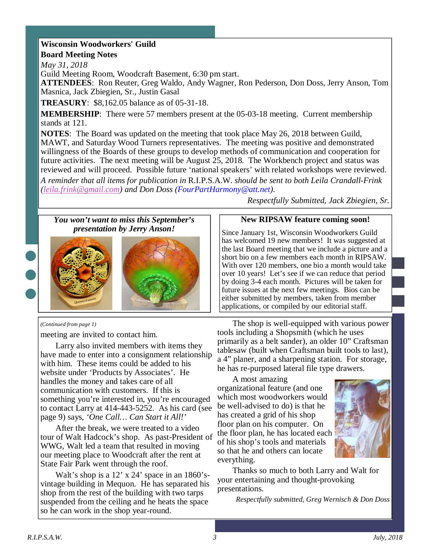### **Wisconsin Woodworkers' Guild Board Meeting Notes**

*May 31, 2018* 

Guild Meeting Room, Woodcraft Basement, 6:30 pm start.

**ATTENDEES**: Ron Reuter, Greg Waldo, Andy Wagner, Ron Pederson, Don Doss, Jerry Anson, Tom Masnica, Jack Zbiegien, Sr., Justin Gasal

**TREASURY**: \$8,162.05 balance as of 05-31-18.

**MEMBERSHIP**: There were 57 members present at the 05-03-18 meeting. Current membership stands at 121.

**NOTES**: The Board was updated on the meeting that took place May 26, 2018 between Guild, MAWT, and Saturday Wood Turners representatives. The meeting was positive and demonstrated willingness of the Boards of these groups to develop methods of communication and cooperation for future activities. The next meeting will be August 25, 2018. The Workbench project and status was reviewed and will proceed. Possible future 'national speakers' with related workshops were reviewed.

*A reminder that all items for publication in* R.I.P.S.A.W. *should be sent to both Leila Crandall-Frink (leila.frink@gmail.com) and Don Doss (FourPartHarmony@att.net).* 

*You won't want to miss this September's presentation by Jerry Anson!*



#### *(Continued from page 1)*

meeting are invited to contact him.

Larry also invited members with items they have made to enter into a consignment relationship with him. These items could be added to his website under 'Products by Associates'. He handles the money and takes care of all communication with customers. If this is something you're interested in, you're encouraged to contact Larry at 414-443-5252. As his card (see page 9) says, *'One Call… Can Start it All!'*

After the break, we were treated to a video tour of Walt Hadcock's shop. As past-President of WWG, Walt led a team that resulted in moving our meeting place to Woodcraft after the rent at State Fair Park went through the roof.

Walt's shop is a 12' x 24' space in an 1860'svintage building in Mequon. He has separated his shop from the rest of the building with two tarps suspended from the ceiling and he heats the space so he can work in the shop year-round.

*Respectfully Submitted, Jack Zbiegien, Sr.*

#### **New RIPSAW feature coming soon!**

Since January 1st, Wisconsin Woodworkers Guild has welcomed 19 new members! It was suggested at the last Board meeting that we include a picture and a short bio on a few members each month in RIPSAW. With over 120 members, one bio a month would take over 10 years! Let's see if we can reduce that period by doing 3-4 each month. Pictures will be taken for future issues at the next few meetings. Bios can be either submitted by members, taken from member applications, or compiled by our editorial staff.

The shop is well-equipped with various power tools including a Shopsmith (which he uses primarily as a belt sander), an older 10" Craftsman tablesaw (built when Craftsman built tools to last), a 4" planer, and a sharpening station. For storage, he has re-purposed lateral file type drawers.

A most amazing organizational feature (and one which most woodworkers would be well-advised to do) is that he has created a grid of his shop floor plan on his computer. On the floor plan, he has located each of his shop's tools and materials so that he and others can locate everything.



Thanks so much to both Larry and Walt for your entertaining and thought-provoking presentations.

*Respectfully submitted, Greg Wernisch & Don Doss*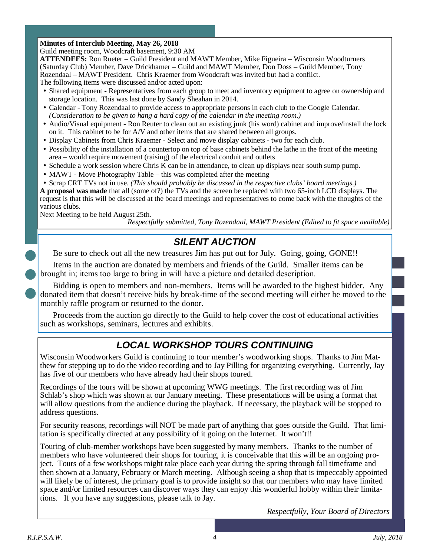### **Minutes of Interclub Meeting, May 26, 2018**

Guild meeting room, Woodcraft basement, 9:30 AM

**ATTENDEES:** Ron Rueter – Guild President and MAWT Member, Mike Figueira – Wisconsin Woodturners (Saturday Club) Member, Dave Drickhamer – Guild and MAWT Member, Don Doss – Guild Member, Tony Rozendaal – MAWT President. Chris Kraemer from Woodcraft was invited but had a conflict. The following items were discussed and/or acted upon:

- Shared equipment Representatives from each group to meet and inventory equipment to agree on ownership and storage location. This was last done by Sandy Sheahan in 2014.
- Calendar Tony Rozendaal to provide access to appropriate persons in each club to the Google Calendar. *(Consideration to be given to hang a hard copy of the calendar in the meeting room.)*
- Audio/Visual equipment Ron Reuter to clean out an existing junk (his word) cabinet and improve/install the lock on it. This cabinet to be for A/V and other items that are shared between all groups.
- Display Cabinets from Chris Kraemer Select and move display cabinets two for each club.
- Possibility of the installation of a countertop on top of base cabinets behind the lathe in the front of the meeting area – would require movement (raising) of the electrical conduit and outlets
- Schedule a work session where Chris K can be in attendance, to clean up displays near south sump pump.
- MAWT Move Photography Table this was completed after the meeting
- Scrap CRT TVs not in use. *(This should probably be discussed in the respective clubs' board meetings.)*

**A proposal was made** that all (some of?) the TVs and the screen be replaced with two 65-inch LCD displays. The request is that this will be discussed at the board meetings and representatives to come back with the thoughts of the various clubs.

Next Meeting to be held August 25th.

*Respectfully submitted, Tony Rozendaal, MAWT President (Edited to fit space available)* 

## **SILENT AUCTION**

Be sure to check out all the new treasures Jim has put out for July. Going, going, GONE!!

Items in the auction are donated by members and friends of the Guild. Smaller items can be brought in; items too large to bring in will have a picture and detailed description.

Bidding is open to members and non-members. Items will be awarded to the highest bidder. Any donated item that doesn't receive bids by break-time of the second meeting will either be moved to the monthly raffle program or returned to the donor.

Proceeds from the auction go directly to the Guild to help cover the cost of educational activities such as workshops, seminars, lectures and exhibits.

# **LOCAL WORKSHOP TOURS CONTINUING**

Wisconsin Woodworkers Guild is continuing to tour member's woodworking shops. Thanks to Jim Matthew for stepping up to do the video recording and to Jay Pilling for organizing everything. Currently, Jay has five of our members who have already had their shops toured.

Recordings of the tours will be shown at upcoming WWG meetings. The first recording was of Jim Schlab's shop which was shown at our January meeting. These presentations will be using a format that will allow questions from the audience during the playback. If necessary, the playback will be stopped to address questions.

For security reasons, recordings will NOT be made part of anything that goes outside the Guild. That limitation is specifically directed at any possibility of it going on the Internet. It won't!!

Touring of club-member workshops have been suggested by many members. Thanks to the number of members who have volunteered their shops for touring, it is conceivable that this will be an ongoing project. Tours of a few workshops might take place each year during the spring through fall timeframe and then shown at a January, February or March meeting. Although seeing a shop that is impeccably appointed will likely be of interest, the primary goal is to provide insight so that our members who may have limited space and/or limited resources can discover ways they can enjoy this wonderful hobby within their limitations. If you have any suggestions, please talk to Jay.

*Respectfully, Your Board of Directors*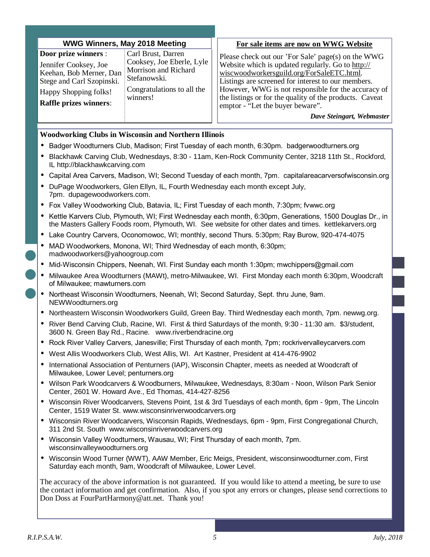| <b>WWG Winners, May 2018 Meeting</b> |  |
|--------------------------------------|--|
|--------------------------------------|--|

| Door prize winners :          | Carl Brust, Darren         |
|-------------------------------|----------------------------|
| Jennifer Cooksey, Joe         | Cooksey, Joe Eberle, Lyle  |
| Keehan, Bob Merner, Dan       | Morrison and Richard       |
| Stege and Carl Szopinski.     | Stefanowski.               |
| Happy Shopping folks!         | Congratulations to all the |
| <b>Raffle prizes winners:</b> | winners!                   |

#### **For sale items are now on WWG Website**

Please check out our 'For Sale' page(s) on the WWG Website which is updated regularly. Go to http:// wiscwoodworkersguild.org/ForSaleETC.html. Listings are screened for interest to our members. However, WWG is not responsible for the accuracy of the listings or for the quality of the products. Caveat emptor - "Let the buyer beware".

*Dave Steingart, Webmaster* 

#### **Woodworking Clubs in Wisconsin and Northern Illinois**

- Badger Woodturners Club, Madison; First Tuesday of each month, 6:30pm. badgerwoodturners.org
- Blackhawk Carving Club, Wednesdays, 8:30 11am, Ken-Rock Community Center, 3218 11th St., Rockford, IL http://blackhawkcarving.com
- Capital Area Carvers, Madison, WI; Second Tuesday of each month, 7pm. capitalareacarversofwisconsin.org
- DuPage Woodworkers, Glen Ellyn, IL, Fourth Wednesday each month except July, 7pm. dupagewoodworkers.com.
- Fox Valley Woodworking Club, Batavia, IL; First Tuesday of each month, 7:30pm; fvwwc.org
- Kettle Karvers Club, Plymouth, WI; First Wednesday each month, 6:30pm, Generations, 1500 Douglas Dr., in the Masters Gallery Foods room, Plymouth, WI. See website for other dates and times. kettlekarvers.org
- Lake Country Carvers, Oconomowoc, WI; monthly, second Thurs. 5:30pm; Ray Burow, 920-474-4075
- MAD Woodworkers, Monona, WI; Third Wednesday of each month, 6:30pm; madwoodworkers@yahoogroup.com
- Mid-Wisconsin Chippers, Neenah, WI. First Sunday each month 1:30pm; mwchippers@gmail.com
- Milwaukee Area Woodturners (MAWt), metro-Milwaukee, WI. First Monday each month 6:30pm, Woodcraft of Milwaukee; mawturners.com
- Northeast Wisconsin Woodturners, Neenah, WI; Second Saturday, Sept. thru June, 9am. NEWWoodturners.org
- Northeastern Wisconsin Woodworkers Guild, Green Bay. Third Wednesday each month, 7pm. newwg.org.
- River Bend Carving Club, Racine, WI. First & third Saturdays of the month, 9:30 11:30 am. \$3/student, 3600 N. Green Bay Rd., Racine. www.riverbendracine.org
- Rock River Valley Carvers, Janesville; First Thursday of each month, 7pm; rockrivervalleycarvers.com
- West Allis Woodworkers Club, West Allis, WI. Art Kastner, President at 414-476-9902
- International Association of Penturners (IAP), Wisconsin Chapter, meets as needed at Woodcraft of Milwaukee, Lower Level; penturners.org
- Wilson Park Woodcarvers & Woodburners, Milwaukee, Wednesdays, 8:30am Noon, Wilson Park Senior Center, 2601 W. Howard Ave., Ed Thomas, 414-427-8256
- Wisconsin River Woodcarvers, Stevens Point, 1st & 3rd Tuesdays of each month, 6pm 9pm, The Lincoln Center, 1519 Water St. www.wisconsinriverwoodcarvers.org
- Wisconsin River Woodcarvers, Wisconsin Rapids, Wednesdays, 6pm 9pm, First Congregational Church, 311 2nd St. South www.wisconsinriverwoodcarvers.org
- Wisconsin Valley Woodturners, Wausau, WI; First Thursday of each month, 7pm. wisconsinvalleywoodturners.org
- Wisconsin Wood Turner (WWT), AAW Member, Eric Meigs, President, wisconsinwoodturner.com, First Saturday each month, 9am, Woodcraft of Milwaukee, Lower Level.

The accuracy of the above information is not guaranteed. If you would like to attend a meeting, be sure to use the contact information and get confirmation. Also, if you spot any errors or changes, please send corrections to Don Doss at FourPartHarmony@att.net. Thank you!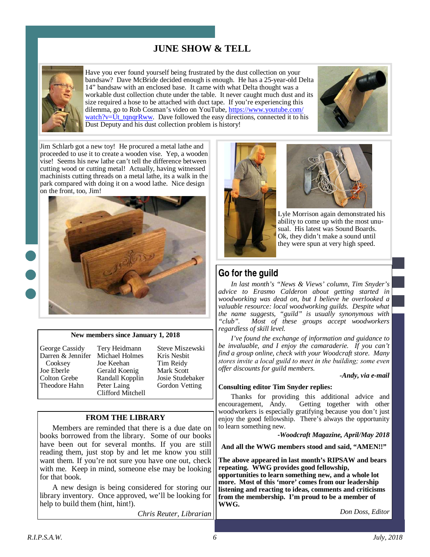### **JUNE SHOW & TELL**



Have you ever found yourself being frustrated by the dust collection on your bandsaw? Dave McBride decided enough is enough. He has a 25-year-old Delta 14" bandsaw with an enclosed base. It came with what Delta thought was a workable dust collection chute under the table. It never caught much dust and its size required a hose to be attached with duct tape. If you're experiencing this dilemma, go to Rob Cosman's video on YouTube, https://www.youtube.com/ watch?v=Ut tqnqrRww. Dave followed the easy directions, connected it to his Dust Deputy and his dust collection problem is history!



Jim Schlarb got a new toy! He procured a metal lathe and proceeded to use it to create a wooden vise. Yep, a wooden vise! Seems his new lathe can't tell the difference between cutting wood or cutting metal! Actually, having witnessed machinists cutting threads on a metal lathe, its a walk in the park compared with doing it on a wood lathe. Nice design on the front, too, Jim!



#### **New members since January 1, 2018**

George Cassidy Darren & Jennifer Cooksey Joe Eberle Colton Grebe Theodore Hahn

Tery Heidmann Michael Holmes Joe Keehan Gerald Koenig Randall Kopplin Peter Laing Clifford Mitchell

Steve Miszewski Kris Nesbit Tim Reidy Mark Scott Josie Studebaker Gordon Vetting

#### **FROM THE LIBRARY**

Members are reminded that there is a due date on books borrowed from the library. Some of our books have been out for several months. If you are still reading them, just stop by and let me know you still want them. If you're not sure you have one out, check with me. Keep in mind, someone else may be looking for that book.

A new design is being considered for storing our library inventory. Once approved, we'll be looking for help to build them (hint, hint!).

*Chris Reuter, Librarian* 





Lyle Morrison again demonstrated his ability to come up with the most unusual. His latest was Sound Boards. Ok, they didn't make a sound until they were spun at very high speed.

### **Go for the guild**

*In last month's "News & Views' column, Tim Snyder's advice to Erasmo Calderon about getting started in woodworking was dead on, but I believe he overlooked a valuable resource: local woodworking guilds. Despite what the name suggests, "guild" is usually synonymous with "club". Most of these groups accept woodworkers regardless of skill level.* 

*I've found the exchange of information and guidance to be invaluable, and I enjoy the camaraderie. If you can't find a group online, check with your Woodcraft store. Many*  stores invite a local guild to meet in the building; some even *offer discounts for guild members.* 

*-Andy, via e-mail* 

#### **Consulting editor Tim Snyder replies:**

Thanks for providing this additional advice and encouragement, Andy. Getting together with other woodworkers is especially gratifying because you don't just enjoy the good fellowship. There's always the opportunity to learn something new.

-*Woodcraft Magazine, April/May 2018* 

**And all the WWG members stood and said, "AMEN!!"** 

**The above appeared in last month's RIPSAW and bears repeating. WWG provides good fellowship,** 

**opportunities to learn something new, and a whole lot more. Most of this 'more' comes from our leadership listening and reacting to ideas, comments and criticisms from the membership. I'm proud to be a member of WWG.** 

*Don Doss, Editor*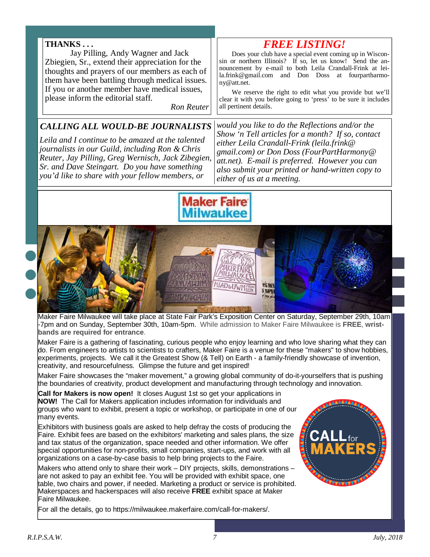### **THANKS . . .**

 Jay Pilling, Andy Wagner and Jack Zbiegien, Sr., extend their appreciation for the thoughts and prayers of our members as each of them have been battling through medical issues. If you or another member have medical issues, please inform the editorial staff.

*Ron Reuter* 

### *CALLING ALL WOULD-BE JOURNALISTS*

*Leila and I continue to be amazed at the talented journalists in our Guild, including Ron & Chris Reuter, Jay Pilling, Greg Wernisch, Jack Zibegien, Sr. and Dave Steingart. Do you have something you'd like to share with your fellow members, or* 

*would you like to do the Reflections and/or the Show 'n Tell articles for a month? If so, contact either Leila Crandall-Frink (leila.frink@ gmail.com) or Don Doss (FourPartHarmony@ att.net). E-mail is preferred. However you can also submit your printed or hand-written copy to either of us at a meeting.* 

*FREE LISTING!*  Does your club have a special event coming up in Wisconsin or northern Illinois? If so, let us know! Send the announcement by e-mail to both Leila Crandall-Frink at leila.frink@gmail.com and Don Doss at fourpartharmo-

We reserve the right to edit what you provide but we'll clear it with you before going to 'press' to be sure it includes



ny@att.net.

all pertinent details.



Maker Faire Milwaukee will take place at State Fair Park's Exposition Center on Saturday, September 29th, 10am -7pm and on Sunday, September 30th, 10am-5pm. While admission to Maker Faire Milwaukee is **FREE**, **wristbands are required for entrance**.

Maker Faire is a gathering of fascinating, curious people who enjoy learning and who love sharing what they can do. From engineers to artists to scientists to crafters, Maker Faire is a venue for these "makers" to show hobbies, experiments, projects. We call it the Greatest Show (& Tell) on Earth - a family-friendly showcase of invention, creativity, and resourcefulness. Glimpse the future and get inspired!

Maker Faire showcases the "maker movement," a growing global community of do-it-yourselfers that is pushing the boundaries of creativity, product development and manufacturing through technology and innovation.

**Call for Makers is now open!** It closes August 1st so get your applications in **NOW!** The Call for Makers application includes information for individuals and groups who want to exhibit, present a topic or workshop, or participate in one of our many events.

Exhibitors with business goals are asked to help defray the costs of producing the Faire. Exhibit fees are based on the exhibitors' marketing and sales plans, the size and tax status of the organization, space needed and other information. We offer special opportunities for non-profits, small companies, start-ups, and work with all organizations on a case-by-case basis to help bring projects to the Faire.

Makers who attend only to share their work – DIY projects, skills, demonstrations are not asked to pay an exhibit fee. You will be provided with exhibit space, one table, two chairs and power, if needed. Marketing a product or service is prohibited. Makerspaces and hackerspaces will also receive **FREE** exhibit space at Maker Faire Milwaukee.

For all the details, go to https://milwaukee.makerfaire.com/call-for-makers/.

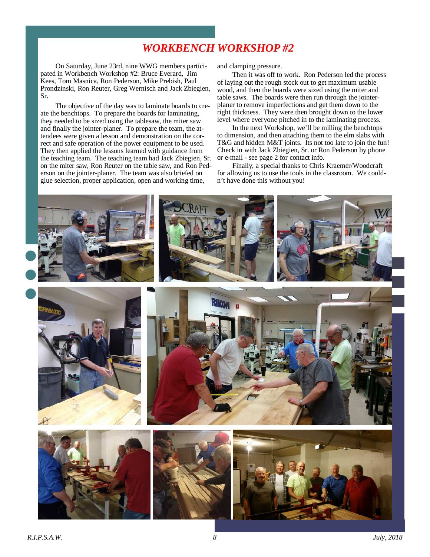# *WORKBENCH WORKSHOP #2*

On Saturday, June 23rd, nine WWG members participated in Workbench Workshop #2: Bruce Everard, Jim Kees, Tom Masnica, Ron Pederson, Mike Prebish, Paul Prondzinski, Ron Reuter, Greg Wernisch and Jack Zbiegien, Sr.

The objective of the day was to laminate boards to create the benchtops. To prepare the boards for laminating, they needed to be sized using the tablesaw, the miter saw and finally the jointer-planer. To prepare the team, the attendees were given a lesson and demonstration on the correct and safe operation of the power equipment to be used. They then applied the lessons learned with guidance from the teaching team. The teaching team had Jack Zbiegien, Sr. on the miter saw, Ron Reuter on the table saw, and Ron Pederson on the jointer-planer. The team was also briefed on glue selection, proper application, open and working time,

and clamping pressure.

Then it was off to work. Ron Pederson led the process of laying out the rough stock out to get maximum usable wood, and then the boards were sized using the miter and table saws. The boards were then run through the jointerplaner to remove imperfections and get them down to the right thickness. They were then brought down to the lower level where everyone pitched in to the laminating process.

In the next Workshop, we'll be milling the benchtops to dimension, and then attaching them to the elm slabs with T&G and hidden M&T joints. Its not too late to join the fun! Check in with Jack Zbiegien, Sr. or Ron Pederson by phone or e-mail - see page 2 for contact info.

Finally, a special thanks to Chris Kraemer/Woodcraft for allowing us to use the tools in the classroom. We couldn't have done this without you!

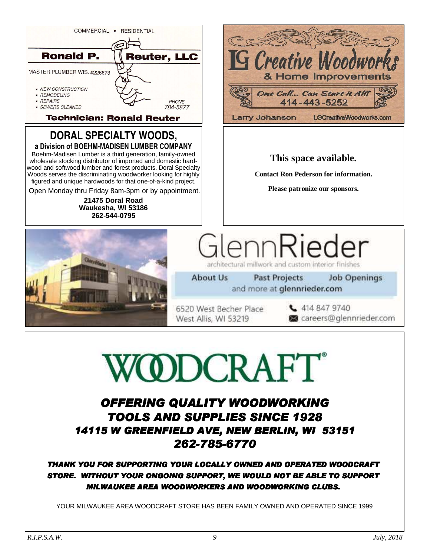